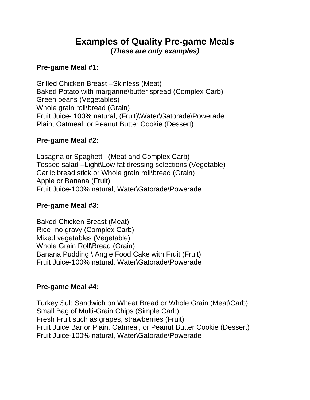# **Examples of Quality Pre-game Meals (***These are only examples)*

#### **Pre-game Meal #1:**

Grilled Chicken Breast –Skinless (Meat) Baked Potato with margarine\butter spread (Complex Carb) Green beans (Vegetables) Whole grain roll\bread (Grain) Fruit Juice- 100% natural, (Fruit)\Water\Gatorade\Powerade Plain, Oatmeal, or Peanut Butter Cookie (Dessert)

#### **Pre-game Meal #2:**

Lasagna or Spaghetti- (Meat and Complex Carb) Tossed salad –Light\Low fat dressing selections (Vegetable) Garlic bread stick or Whole grain roll\bread (Grain) Apple or Banana (Fruit) Fruit Juice-100% natural, Water\Gatorade\Powerade

#### **Pre-game Meal #3:**

Baked Chicken Breast (Meat) Rice -no gravy (Complex Carb) Mixed vegetables (Vegetable) Whole Grain Roll\Bread (Grain) Banana Pudding \ Angle Food Cake with Fruit (Fruit) Fruit Juice-100% natural, Water\Gatorade\Powerade

#### **Pre-game Meal #4:**

Turkey Sub Sandwich on Wheat Bread or Whole Grain (Meat\Carb) Small Bag of Multi-Grain Chips (Simple Carb) Fresh Fruit such as grapes, strawberries (Fruit) Fruit Juice Bar or Plain, Oatmeal, or Peanut Butter Cookie (Dessert) Fruit Juice-100% natural, Water\Gatorade\Powerade